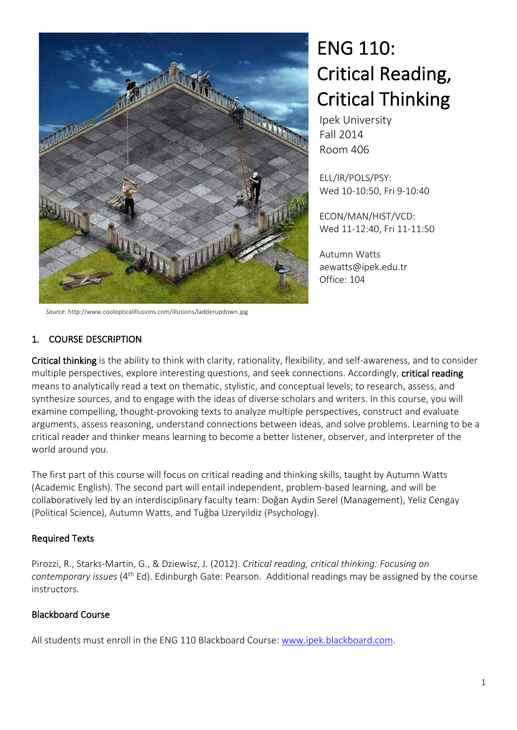

ENG 110: Critical Reading, Critical Thinking

Ipek University Fall 2014 Room 406

ELL/IR/POLS/PSY: Wed 10-10:50, Fri 9-10:40

ECON/MAN/HIST/VCD: Wed 11-12:40, Fri 11-11:50

Autumn Watts aewatts@ipek.edu.tr Office: 104

*Source*: http://www.coolopticalillusions.com/illusions/ladderupdown.jpg

## 1. COURSE DESCRIPTION

Critical thinking is the ability to think with clarity, rationality, flexibility, and self-awareness, and to consider multiple perspectives, explore interesting questions, and seek connections. Accordingly, critical reading means to analytically read a text on thematic, stylistic, and conceptual levels; to research, assess, and synthesize sources, and to engage with the ideas of diverse scholars and writers. In this course, you will examine compelling, thought-provoking texts to analyze multiple perspectives, construct and evaluate arguments, assess reasoning, understand connections between ideas, and solve problems. Learning to be a critical reader and thinker means learning to become a better listener, observer, and interpreter of the world around you.

The first part of this course will focus on critical reading and thinking skills, taught by Autumn Watts (Academic English). The second part will entail independent, problem-based learning, and will be collaboratively led by an interdisciplinary faculty team: Doğan Aydin Serel (Management), Yeliz Cengay (Political Science), Autumn Watts, and Tuğba Uzeryildiz (Psychology).

## Required Texts

Pirozzi, R., Starks-Martin, G., & Dziewisz, J. (2012). *Critical reading, critical thinking: Focusing on contemporary issues* (4th Ed). Edinburgh Gate: Pearson. Additional readings may be assigned by the course instructors.

## Blackboard Course

All students must enroll in the ENG 110 Blackboard Course: www.ipek.blackboard.com.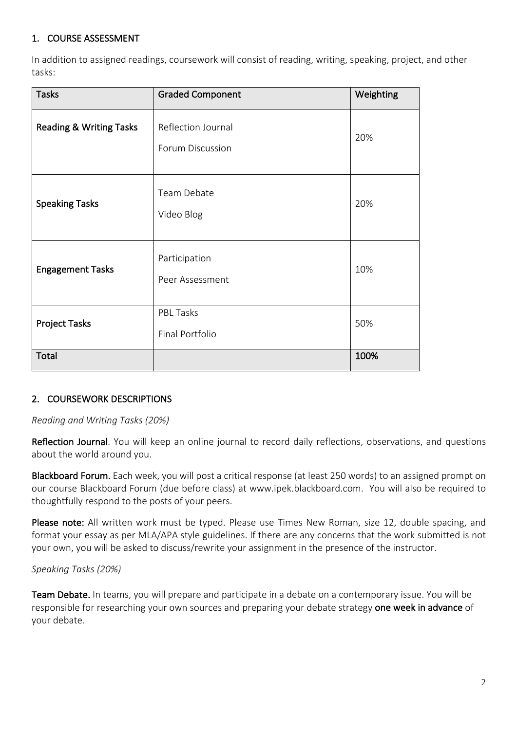## 1. COURSE ASSESSMENT

In addition to assigned readings, coursework will consist of reading, writing, speaking, project, and other tasks:

| <b>Tasks</b>                       | <b>Graded Component</b>                | Weighting |
|------------------------------------|----------------------------------------|-----------|
| <b>Reading &amp; Writing Tasks</b> | Reflection Journal<br>Forum Discussion | 20%       |
| <b>Speaking Tasks</b>              | Team Debate<br>Video Blog              | 20%       |
| <b>Engagement Tasks</b>            | Participation<br>Peer Assessment       | 10%       |
| <b>Project Tasks</b>               | PBL Tasks<br>Final Portfolio           | 50%       |
| Total                              |                                        | 100%      |

#### 2. COURSEWORK DESCRIPTIONS

*Reading and Writing Tasks (20%)*

Reflection Journal. You will keep an online journal to record daily reflections, observations, and questions about the world around you.

Blackboard Forum. Each week, you will post a critical response (at least 250 words) to an assigned prompt on our course Blackboard Forum (due before class) at www.ipek.blackboard.com. You will also be required to thoughtfully respond to the posts of your peers.

Please note: All written work must be typed. Please use Times New Roman, size 12, double spacing, and format your essay as per MLA/APA style guidelines. If there are any concerns that the work submitted is not your own, you will be asked to discuss/rewrite your assignment in the presence of the instructor.

*Speaking Tasks (20%)*

Team Debate. In teams, you will prepare and participate in a debate on a contemporary issue. You will be responsible for researching your own sources and preparing your debate strategy one week in advance of your debate.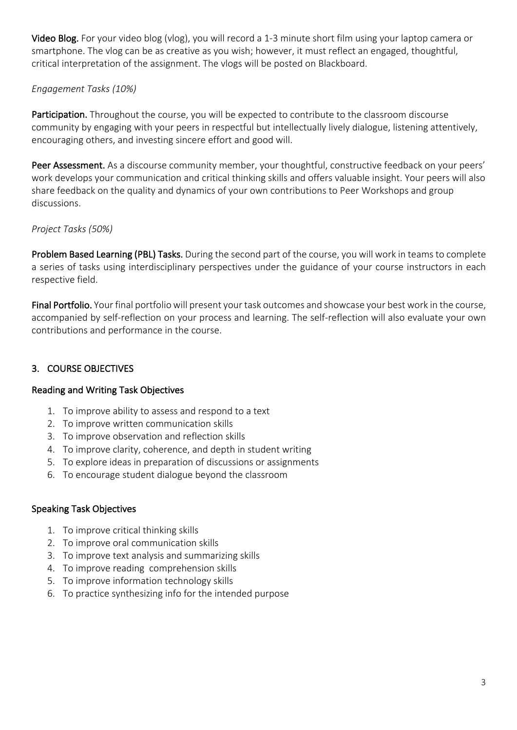Video Blog. For your video blog (vlog), you will record a 1-3 minute short film using your laptop camera or smartphone. The vlog can be as creative as you wish; however, it must reflect an engaged, thoughtful, critical interpretation of the assignment. The vlogs will be posted on Blackboard.

## *Engagement Tasks (10%)*

Participation. Throughout the course, you will be expected to contribute to the classroom discourse community by engaging with your peers in respectful but intellectually lively dialogue, listening attentively, encouraging others, and investing sincere effort and good will.

Peer Assessment. As a discourse community member, your thoughtful, constructive feedback on your peers' work develops your communication and critical thinking skills and offers valuable insight. Your peers will also share feedback on the quality and dynamics of your own contributions to Peer Workshops and group discussions.

## *Project Tasks (50%)*

Problem Based Learning (PBL) Tasks. During the second part of the course, you will work in teams to complete a series of tasks using interdisciplinary perspectives under the guidance of your course instructors in each respective field.

Final Portfolio. Your final portfolio will present your task outcomes and showcase your best work in the course, accompanied by self-reflection on your process and learning. The self-reflection will also evaluate your own contributions and performance in the course.

## 3. COURSE OBJECTIVES

## Reading and Writing Task Objectives

- 1. To improve ability to assess and respond to a text
- 2. To improve written communication skills
- 3. To improve observation and reflection skills
- 4. To improve clarity, coherence, and depth in student writing
- 5. To explore ideas in preparation of discussions or assignments
- 6. To encourage student dialogue beyond the classroom

## Speaking Task Objectives

- 1. To improve critical thinking skills
- 2. To improve oral communication skills
- 3. To improve text analysis and summarizing skills
- 4. To improve reading comprehension skills
- 5. To improve information technology skills
- 6. To practice synthesizing info for the intended purpose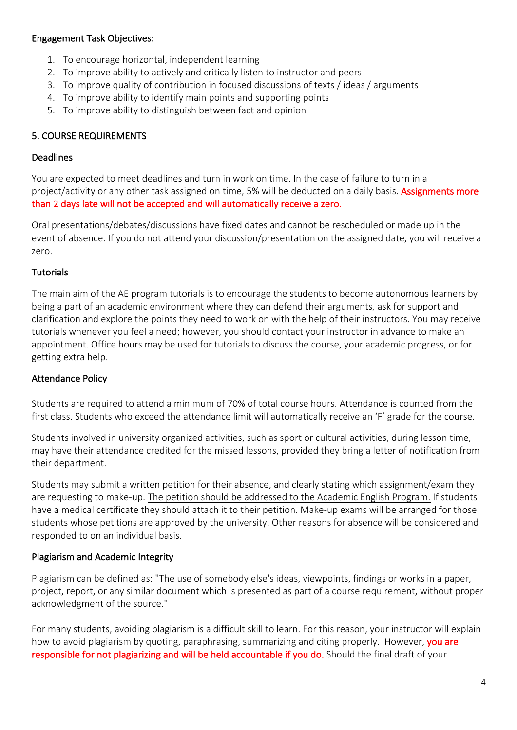#### Engagement Task Objectives:

- 1. To encourage horizontal, independent learning
- 2. To improve ability to actively and critically listen to instructor and peers
- 3. To improve quality of contribution in focused discussions of texts / ideas / arguments
- 4. To improve ability to identify main points and supporting points
- 5. To improve ability to distinguish between fact and opinion

# 5. COURSE REQUIREMENTS

## Deadlines

You are expected to meet deadlines and turn in work on time. In the case of failure to turn in a project/activity or any other task assigned on time, 5% will be deducted on a daily basis. Assignments more than 2 days late will not be accepted and will automatically receive a zero.

Oral presentations/debates/discussions have fixed dates and cannot be rescheduled or made up in the event of absence. If you do not attend your discussion/presentation on the assigned date, you will receive a zero.

## **Tutorials**

The main aim of the AE program tutorials is to encourage the students to become autonomous learners by being a part of an academic environment where they can defend their arguments, ask for support and clarification and explore the points they need to work on with the help of their instructors. You may receive tutorials whenever you feel a need; however, you should contact your instructor in advance to make an appointment. Office hours may be used for tutorials to discuss the course, your academic progress, or for getting extra help.

## Attendance Policy

Students are required to attend a minimum of 70% of total course hours. Attendance is counted from the first class. Students who exceed the attendance limit will automatically receive an 'F' grade for the course.

Students involved in university organized activities, such as sport or cultural activities, during lesson time, may have their attendance credited for the missed lessons, provided they bring a letter of notification from their department.

Students may submit a written petition for their absence, and clearly stating which assignment/exam they are requesting to make-up. The petition should be addressed to the Academic English Program. If students have a medical certificate they should attach it to their petition. Make-up exams will be arranged for those students whose petitions are approved by the university. Other reasons for absence will be considered and responded to on an individual basis.

## Plagiarism and Academic Integrity

Plagiarism can be defined as: "The use of somebody else's ideas, viewpoints, findings or works in a paper, project, report, or any similar document which is presented as part of a course requirement, without proper acknowledgment of the source."

For many students, avoiding plagiarism is a difficult skill to learn. For this reason, your instructor will explain how to avoid plagiarism by quoting, paraphrasing, summarizing and citing properly. However, you are responsible for not plagiarizing and will be held accountable if you do. Should the final draft of your